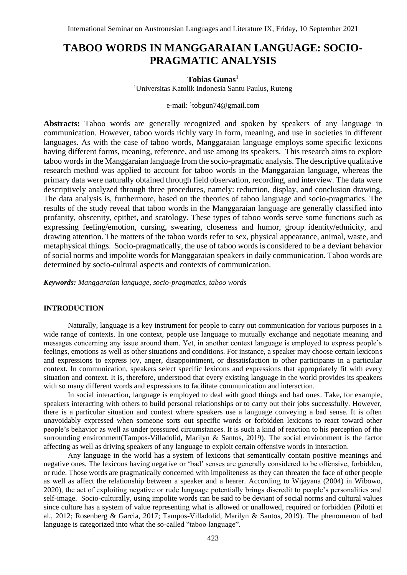# **TABOO WORDS IN MANGGARAIAN LANGUAGE: SOCIO-PRAGMATIC ANALYSIS**

## **Tobias Gunas<sup>1</sup>**

<sup>1</sup>Universitas Katolik Indonesia Santu Paulus, Ruteng

#### e-mail: <sup>1</sup>[tobgun74@gmail.com](mailto:tobgun74@gmail.com)

**Abstracts:** Taboo words are generally recognized and spoken by speakers of any language in communication. However, taboo words richly vary in form, meaning, and use in societies in different languages. As with the case of taboo words, Manggaraian language employs some specific lexicons having different forms, meaning, reference, and use among its speakers. This research aims to explore taboo words in the Manggaraian language from the socio-pragmatic analysis. The descriptive qualitative research method was applied to account for taboo words in the Manggaraian language, whereas the primary data were naturally obtained through field observation, recording, and interview. The data were descriptively analyzed through three procedures, namely: reduction, display, and conclusion drawing. The data analysis is, furthermore, based on the theories of taboo language and socio-pragmatics. The results of the study reveal that taboo words in the Manggaraian language are generally classified into profanity, obscenity, epithet, and scatology. These types of taboo words serve some functions such as expressing feeling/emotion, cursing, swearing, closeness and humor, group identity/ethnicity, and drawing attention. The matters of the taboo words refer to sex, physical appearance, animal, waste, and metaphysical things. Socio-pragmatically, the use of taboo words is considered to be a deviant behavior of social norms and impolite words for Manggaraian speakers in daily communication. Taboo words are determined by socio-cultural aspects and contexts of communication*.*

*Keywords: Manggaraian language, socio-pragmatics, taboo words*

## **INTRODUCTION**

Naturally, language is a key instrument for people to carry out communication for various purposes in a wide range of contexts. In one context, people use language to mutually exchange and negotiate meaning and messages concerning any issue around them. Yet, in another context language is employed to express people's feelings, emotions as well as other situations and conditions. For instance, a speaker may choose certain lexicons and expressions to express joy, anger, disappointment, or dissatisfaction to other participants in a particular context. In communication, speakers select specific lexicons and expressions that appropriately fit with every situation and context. It is, therefore, understood that every existing language in the world provides its speakers with so many different words and expressions to facilitate communication and interaction.

In social interaction, language is employed to deal with good things and bad ones. Take, for example, speakers interacting with others to build personal relationships or to carry out their jobs successfully. However, there is a particular situation and context where speakers use a language conveying a bad sense. It is often unavoidably expressed when someone sorts out specific words or forbidden lexicons to react toward other people's behavior as well as under pressured circumstances. It is such a kind of reaction to his perception of the surrounding environment(Tampos-Villadolid, Marilyn & Santos, 2019). The social environment is the factor affecting as well as driving speakers of any language to exploit certain offensive words in interaction.

Any language in the world has a system of lexicons that semantically contain positive meanings and negative ones. The lexicons having negative or 'bad' senses are generally considered to be offensive, forbidden, or rude. Those words are pragmatically concerned with impoliteness as they can threaten the face of other people as well as affect the relationship between a speaker and a hearer. According to Wijayana (2004) in Wibowo, 2020), the act of exploiting negative or rude language potentially brings discredit to people's personalities and self-image. Socio-culturally, using impolite words can be said to be deviant of social norms and cultural values since culture has a system of value representing what is allowed or unallowed, required or forbidden (Pilotti et al., 2012; Rosenberg & Garcia, 2017; Tampos-Villadolid, Marilyn & Santos, 2019). The phenomenon of bad language is categorized into what the so-called "taboo language".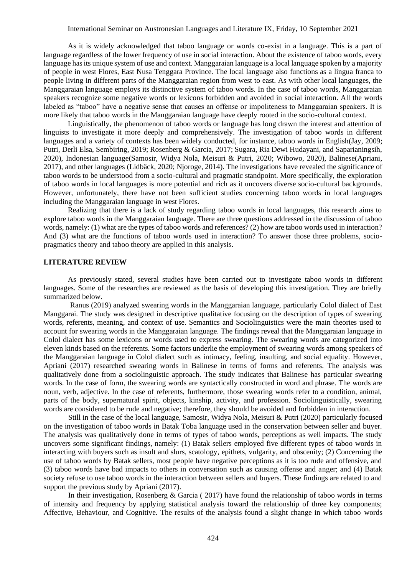#### International Seminar on Austronesian Languages and Literature IX, Friday, 10 September 2021

As it is widely acknowledged that taboo language or words co-exist in a language. This is a part of language regardless of the lower frequency of use in social interaction. About the existence of taboo words, every language has its unique system of use and context. Manggaraian language is a local language spoken by a majority of people in west Flores, East Nusa Tenggara Province. The local language also functions as a lingua franca to people living in different parts of the Manggaraian region from west to east. As with other local languages, the Manggaraian language employs its distinctive system of taboo words. In the case of taboo words, Manggaraian speakers recognize some negative words or lexicons forbidden and avoided in social interaction. All the words labeled as "taboo" have a negative sense that causes an offense or impoliteness to Manggaraian speakers. It is more likely that taboo words in the Manggaraian language have deeply rooted in the socio-cultural context.

Linguistically, the phenomenon of taboo words or language has long drawn the interest and attention of linguists to investigate it more deeply and comprehensively. The investigation of taboo words in different languages and a variety of contexts has been widely conducted, for instance, taboo words in English(Jay, 2009; Putri, Derli Elsa, Sembiring, 2019; Rosenberg & Garcia, 2017; Sugara, Ria Dewi Hudayani, and Saparianingsih, 2020), Indonesian language(Samosir, Widya Nola, Meisuri & Putri, 2020; Wibowo, 2020), Balinese(Apriani, 2017), and other languages (Lidbäck, 2020; Njoroge, 2014). The investigations have revealed the significance of taboo words to be understood from a socio-cultural and pragmatic standpoint. More specifically, the exploration of taboo words in local languages is more potential and rich as it uncovers diverse socio-cultural backgrounds. However, unfortunately, there have not been sufficient studies concerning taboo words in local languages including the Manggaraian language in west Flores.

Realizing that there is a lack of study regarding taboo words in local languages, this research aims to explore taboo words in the Manggaraian language. There are three questions addressed in the discussion of taboo words, namely: (1) what are the types of taboo words and references? (2) how are taboo words used in interaction? And (3) what are the functions of taboo words used in interaction? To answer those three problems, sociopragmatics theory and taboo theory are applied in this analysis.

#### **LITERATURE REVIEW**

As previously stated, several studies have been carried out to investigate taboo words in different languages. Some of the researches are reviewed as the basis of developing this investigation. They are briefly summarized below.

Ranus (2019) analyzed swearing words in the Manggaraian language, particularly Colol dialect of East Manggarai. The study was designed in descriptive qualitative focusing on the description of types of swearing words, referents, meaning, and context of use. Semantics and Sociolinguistics were the main theories used to account for swearing words in the Manggaraian language. The findings reveal that the Manggaraian language in Colol dialect has some lexicons or words used to express swearing. The swearing words are categorized into eleven kinds based on the referents. Some factors underlie the employment of swearing words among speakers of the Manggaraian language in Colol dialect such as intimacy, feeling, insulting, and social equality. However, Apriani (2017) researched swearing words in Balinese in terms of forms and referents. The analysis was qualitatively done from a sociolinguistic approach. The study indicates that Balinese has particular swearing words. In the case of form, the swearing words are syntactically constructed in word and phrase. The words are noun, verb, adjective. In the case of referents, furthermore, those swearing words refer to a condition, animal, parts of the body, supernatural spirit, objects, kinship, activity, and profession. Sociolinguistically, swearing words are considered to be rude and negative; therefore, they should be avoided and forbidden in interaction.

Still in the case of the local language, Samosir, Widya Nola, Meisuri & Putri (2020) particularly focused on the investigation of taboo words in Batak Toba language used in the conservation between seller and buyer. The analysis was qualitatively done in terms of types of taboo words, perceptions as well impacts. The study uncovers some significant findings, namely: (1) Batak sellers employed five different types of taboo words in interacting with buyers such as insult and slurs, scatology, epithets, vulgarity, and obscenity; (2) Concerning the use of taboo words by Batak sellers, most people have negative perceptions as it is too rude and offensive, and (3) taboo words have bad impacts to others in conversation such as causing offense and anger; and (4) Batak society refuse to use taboo words in the interaction between sellers and buyers. These findings are related to and support the previous study by Apriani (2017).

In their investigation, Rosenberg & Garcia ( 2017) have found the relationship of taboo words in terms of intensity and frequency by applying statistical analysis toward the relationship of three key components; Affective, Behaviour, and Cognitive. The results of the analysis found a slight change in which taboo words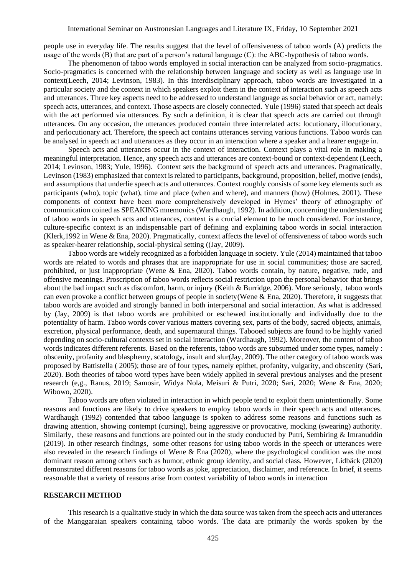people use in everyday life. The results suggest that the level of offensiveness of taboo words (A) predicts the usage of the words (B) that are part of a person's natural language (C): the ABC-hypothesis of taboo words.

The phenomenon of taboo words employed in social interaction can be analyzed from socio-pragmatics. Socio-pragmatics is concerned with the relationship between language and society as well as language use in context(Leech, 2014; Levinson, 1983). In this interdisciplinary approach, taboo words are investigated in a particular society and the context in which speakers exploit them in the context of interaction such as speech acts and utterances. Three key aspects need to be addressed to understand language as social behavior or act, namely: speech acts, utterances, and context. Those aspects are closely connected. Yule (1996) stated that speech act deals with the act performed via utterances. By such a definition, it is clear that speech acts are carried out through utterances. On any occasion, the utterances produced contain three interrelated acts: locutionary, illocutionary, and perlocutionary act. Therefore, the speech act contains utterances serving various functions. Taboo words can be analysed in speech act and utterances as they occur in an interaction where a speaker and a hearer engage in.

Speech acts and utterances occur in the context of interaction. Context plays a vital role in making a meaningful interpretation. Hence, any speech acts and utterances are context-bound or context-dependent (Leech, 2014; Levinson, 1983; Yule, 1996). Context sets the background of speech acts and utterances. Pragmatically, Levinson (1983) emphasized that context is related to participants, background, proposition, belief, motive (ends), and assumptions that underlie speech acts and utterances. Context roughly consists of some key elements such as participants (who), topic (what), time and place (when and where), and manners (how) (Holmes, 2001). These components of context have been more comprehensively developed in Hymes' theory of ethnography of communication coined as SPEAKING mnemonics (Wardhaugh, 1992). In addition, concerning the understanding of taboo words in speech acts and utterances, context is a crucial element to be much considered. For instance, culture-specific context is an indispensable part of defining and explaining taboo words in social interaction (Klerk,1992 in Wene & Ena, 2020). Pragmatically, context affects the level of offensiveness of taboo words such as speaker-hearer relationship, social-physical setting ((Jay, 2009).

Taboo words are widely recognized as a forbidden language in society. Yule (2014) maintained that taboo words are related to words and phrases that are inappropriate for use in social communities; those are sacred, prohibited, or just inappropriate (Wene & Ena, 2020). Taboo words contain, by nature, negative, rude, and offensive meanings. Proscription of taboo words reflects social restriction upon the personal behavior that brings about the bad impact such as discomfort, harm, or injury (Keith & Burridge, 2006). More seriously, taboo words can even provoke a conflict between groups of people in society(Wene & Ena, 2020). Therefore, it suggests that taboo words are avoided and strongly banned in both interpersonal and social interaction. As what is addressed by (Jay, 2009) is that taboo words are prohibited or eschewed institutionally and individually due to the potentiality of harm. Taboo words cover various matters covering sex, parts of the body, sacred objects, animals, excretion, physical performance, death, and supernatural things. Tabooed subjects are found to be highly varied depending on socio-cultural contexts set in social interaction (Wardhaugh, 1992). Moreover, the content of taboo words indicates different referents. Based on the referents, taboo words are subsumed under some types, namely : obscenity, profanity and blasphemy, scatology, insult and slur(Jay, 2009). The other category of taboo words was proposed by Battistella ( 2005); those are of four types, namely epithet, profanity, vulgarity, and obscenity (Sari, 2020). Both theories of taboo word types have been widely applied in several previous analyses and the present research (e,g., Ranus, 2019; Samosir, Widya Nola, Meisuri & Putri, 2020; Sari, 2020; Wene & Ena, 2020; Wibowo, 2020).

Taboo words are often violated in interaction in which people tend to exploit them unintentionally. Some reasons and functions are likely to drive speakers to employ taboo words in their speech acts and utterances. Wardhaugh (1992) contended that taboo language is spoken to address some reasons and functions such as drawing attention, showing contempt (cursing), being aggressive or provocative, mocking (swearing) authority. Similarly, these reasons and functions are pointed out in the study conducted by Putri, Sembiring & Imranuddin (2019). In other research findings, some other reasons for using taboo words in the speech or utterances were also revealed in the research findings of Wene  $\&$  Ena (2020), where the psychological condition was the most dominant reason among others such as humor, ethnic group identity, and social class. However, Lidbäck (2020) demonstrated different reasons for taboo words as joke, appreciation, disclaimer, and reference. In brief, it seems reasonable that a variety of reasons arise from context variability of taboo words in interaction

#### **RESEARCH METHOD**

This research is a qualitative study in which the data source was taken from the speech acts and utterances of the Manggaraian speakers containing taboo words. The data are primarily the words spoken by the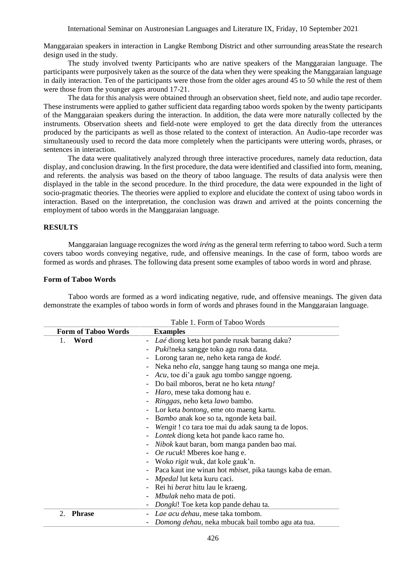Manggaraian speakers in interaction in Langke Rembong District and other surrounding areasState the research design used in the study.

The study involved twenty Participants who are native speakers of the Manggaraian language. The participants were purposively taken as the source of the data when they were speaking the Manggaraian language in daily interaction. Ten of the participants were those from the older ages around 45 to 50 while the rest of them were those from the younger ages around 17-21.

The data for this analysis were obtained through an observation sheet, field note, and audio tape recorder. These instruments were applied to gather sufficient data regarding taboo words spoken by the twenty participants of the Manggaraian speakers during the interaction. In addition, the data were more naturally collected by the instruments. Observation sheets and field-note were employed to get the data directly from the utterances produced by the participants as well as those related to the context of interaction. An Audio-tape recorder was simultaneously used to record the data more completely when the participants were uttering words, phrases, or sentences in interaction.

The data were qualitatively analyzed through three interactive procedures, namely data reduction, data display, and conclusion drawing. In the first procedure, the data were identified and classified into form, meaning, and referents. the analysis was based on the theory of taboo language. The results of data analysis were then displayed in the table in the second procedure. In the third procedure, the data were expounded in the light of socio-pragmatic theories. The theories were applied to explore and elucidate the context of using taboo words in interaction. Based on the interpretation, the conclusion was drawn and arrived at the points concerning the employment of taboo words in the Manggaraian language.

### **RESULTS**

Manggaraian language recognizes the word *iréng* as the general term referring to taboo word. Such a term covers taboo words conveying negative, rude, and offensive meanings. In the case of form, taboo words are formed as words and phrases. The following data present some examples of taboo words in word and phrase.

#### **Form of Taboo Words**

Taboo words are formed as a word indicating negative, rude, and offensive meanings. The given data demonstrate the examples of taboo words in form of words and phrases found in the Manggaraian language.

|                            | Table 1. Form of Taboo Words                                        |
|----------------------------|---------------------------------------------------------------------|
| <b>Form of Taboo Words</b> | <b>Examples</b>                                                     |
| Word<br>1.                 | - Laé diong keta hot pande rusak barang daku?                       |
|                            | <i>Puki!neka sangge toko agu rona data.</i>                         |
|                            | Lorong taran ne, neho keta ranga de kodé.                           |
|                            | Neka neho <i>ela</i> , sangge hang taung so manga one meja.         |
|                            | Acu, toe di'a gauk agu tombo sangge ngoeng.                         |
|                            | Do bail mboros, berat ne ho keta <i>ntung!</i>                      |
|                            | <i>Haro</i> , mese taka domong hau e.                               |
|                            | <i>Ringgas</i> , neho keta <i>lawo</i> bambo.                       |
|                            | - Lor keta <i>bontong</i> , eme oto maeng kartu.                    |
|                            | Bambo anak koe so ta, ngonde keta bail.                             |
|                            | <i>Wengit</i> ! co tara toe mai du adak saung ta de lopos.          |
|                            | - Lontek diong keta hot pande kaco rame ho.                         |
|                            | <i>Nibok</i> kaut baran, bom manga panden bao mai.                  |
|                            | - <i>Oe rucuk!</i> Mberes koe hang e.                               |
|                            | - Woko <i>rigit</i> wuk, dat kole gauk'n.                           |
|                            | - Paca kaut ine winan hot <i>mbiset</i> , pika taungs kaba de eman. |
|                            | <i>Mpedal</i> lut keta kuru caci.                                   |
|                            | - Rei hi <i>berat</i> hitu lau le kraeng.                           |
|                            | Mbulak neho mata de poti.                                           |
|                            | Dongki! Toe keta kop pande dehau ta.                                |
| <b>Phrase</b><br>2.        | - Lae acu dehau, mese taka tombom.                                  |
|                            | Domong dehau, neka mbucak bail tombo agu ata tua.                   |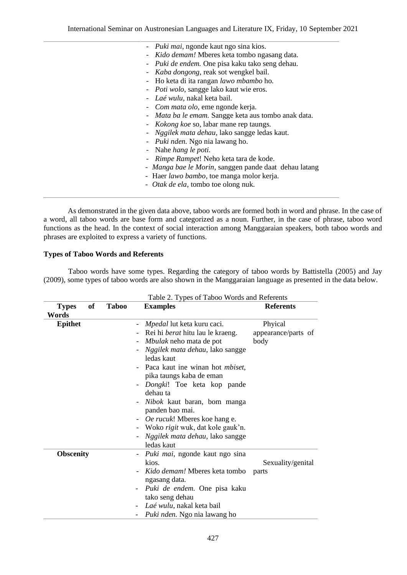| - <i>Puki mai</i> , ngonde kaut ngo sina kios.              |
|-------------------------------------------------------------|
| Kido demam! Mberes keta tombo ngasang data.                 |
| - Puki de endem. One pisa kaku tako seng dehau.             |
| - <i>Kaba dongong</i> , reak sot wengkel bail.              |
| - Ho keta di ita rangan lawo mbambo ho.                     |
| - <i>Poti wolo</i> , sangge lako kaut wie eros.             |
| - Laé wulu, nakal keta bail.                                |
| - <i>Com mata olo</i> , eme ngonde kerja.                   |
| - <i>Mata ba le emam</i> . Sangge keta aus tombo anak data. |
| - <i>Kokong koe</i> so, labar mane rep taungs.              |
| - Nggilek mata dehau, lako sangge ledas kaut.               |
| - <i>Puki nden</i> . Ngo nia lawang ho.                     |
| - Nahe <i>hang le poti</i> .                                |
| <i>Rimpe Rampet!</i> Neho keta tara de kode.                |
| - Manga bae le Morin, sanggen pande daat dehau latang       |
| - Haer <i>lawo bambo</i> , toe manga molor kerja.           |
| - <i>Otak de ela</i> , tombo toe olong nuk.                 |
|                                                             |

As demonstrated in the given data above, taboo words are formed both in word and phrase. In the case of a word, all taboo words are base form and categorized as a noun. Further, in the case of phrase, taboo word functions as the head. In the context of social interaction among Manggaraian speakers, both taboo words and phrases are exploited to express a variety of functions.

## **Types of Taboo Words and Referents**

Taboo words have some types. Regarding the category of taboo words by Battistella (2005) and Jay (2009), some types of taboo words are also shown in the Manggaraian language as presented in the data below.

|                                    |  | Table 2. Types of Taboo Words and Referents                         |                     |  |
|------------------------------------|--|---------------------------------------------------------------------|---------------------|--|
| of<br><b>Taboo</b><br><b>Types</b> |  | <b>Examples</b>                                                     | <b>Referents</b>    |  |
| Words                              |  |                                                                     |                     |  |
| <b>Epithet</b>                     |  | <i>Mpedal</i> lut keta kuru caci.                                   | Phyical             |  |
|                                    |  | Rei hi <i>berat</i> hitu lau le kraeng.<br>$\overline{\phantom{0}}$ | appearance/parts of |  |
|                                    |  | Mbulak neho mata de pot<br>$\overline{\phantom{0}}$                 | body                |  |
|                                    |  | Nggilek mata dehau, lako sangge                                     |                     |  |
|                                    |  | ledas kaut                                                          |                     |  |
|                                    |  | Paca kaut ine winan hot <i>mbiset</i> ,<br>$\overline{\phantom{0}}$ |                     |  |
|                                    |  | pika taungs kaba de eman                                            |                     |  |
|                                    |  | Dongki! Toe keta kop pande<br>$\overline{\phantom{0}}$              |                     |  |
|                                    |  | dehau ta                                                            |                     |  |
|                                    |  | Nibok kaut baran, bom manga<br>$\overline{\phantom{a}}$             |                     |  |
|                                    |  | panden bao mai.                                                     |                     |  |
|                                    |  | Oe rucuk! Mberes koe hang e.                                        |                     |  |
|                                    |  |                                                                     |                     |  |
|                                    |  | Woko rigit wuk, dat kole gauk'n.                                    |                     |  |
|                                    |  | Nggilek mata dehau, lako sangge                                     |                     |  |
|                                    |  | ledas kaut                                                          |                     |  |
| <b>Obscenity</b>                   |  | <i>Puki mai</i> , ngonde kaut ngo sina<br>-                         |                     |  |
|                                    |  | kios.                                                               | Sexuality/genital   |  |
|                                    |  | Kido demam! Mberes keta tombo                                       | parts               |  |
|                                    |  | ngasang data.                                                       |                     |  |
|                                    |  | Puki de endem. One pisa kaku                                        |                     |  |
|                                    |  | tako seng dehau                                                     |                     |  |
|                                    |  | Laé wulu, nakal keta bail                                           |                     |  |
|                                    |  | Puki nden. Ngo nia lawang ho                                        |                     |  |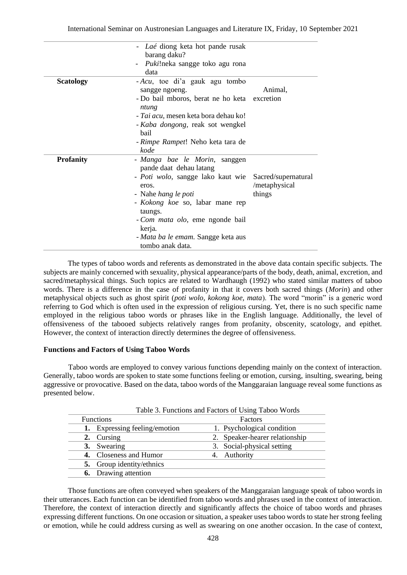|                  | Laé diong keta hot pande rusak<br>barang daku?<br><i>Puki!neka sangge toko agu rona</i><br>data                                                                                                                                                                                                   |                                                |
|------------------|---------------------------------------------------------------------------------------------------------------------------------------------------------------------------------------------------------------------------------------------------------------------------------------------------|------------------------------------------------|
| <b>Scatology</b> | - Acu, toe di'a gauk agu tombo<br>sangge ngoeng.<br>- Do bail mboros, berat ne ho keta<br>ntung<br>- Tai acu, mesen keta bora dehau ko!<br>- Kaba dongong, reak sot wengkel<br>hail<br>- Rimpe Rampet! Neho keta tara de<br>kode                                                                  | Animal,<br>excretion                           |
| <b>Profanity</b> | - Manga bae le Morin, sanggen<br>pande daat dehau latang<br>- <i>Poti wolo</i> , sangge lako kaut wie<br>eros.<br>- Nahe <i>hang le poti</i><br>- Kokong koe so, labar mane rep<br>taungs.<br>- Com mata olo, eme ngonde bail<br>kerja.<br>- Mata ba le emam. Sangge keta aus<br>tombo anak data. | Sacred/supernatural<br>/metaphysical<br>things |

The types of taboo words and referents as demonstrated in the above data contain specific subjects. The subjects are mainly concerned with sexuality, physical appearance/parts of the body, death, animal, excretion, and sacred/metaphysical things. Such topics are related to Wardhaugh (1992) who stated similar matters of taboo words. There is a difference in the case of profanity in that it covers both sacred things (*Morin*) and other metaphysical objects such as ghost spirit (*poti wolo, kokong koe, mata*). The word "morin" is a generic word referring to God which is often used in the expression of religious cursing. Yet, there is no such specific name employed in the religious taboo words or phrases like in the English language. Additionally, the level of offensiveness of the tabooed subjects relatively ranges from profanity, obscenity, scatology, and epithet. However, the context of interaction directly determines the degree of offensiveness.

### **Functions and Factors of Using Taboo Words**

Taboo words are employed to convey various functions depending mainly on the context of interaction. Generally, taboo words are spoken to state some functions feeling or emotion, cursing, insulting, swearing, being aggressive or provocative. Based on the data, taboo words of the Manggaraian language reveal some functions as presented below.

|                  | Table 3. Functions and Factors of Using Taboo Words |         |                                |  |  |  |
|------------------|-----------------------------------------------------|---------|--------------------------------|--|--|--|
| <b>Functions</b> |                                                     | Factors |                                |  |  |  |
|                  | 1. Expressing feeling/emotion                       |         | 1. Psychological condition     |  |  |  |
|                  | 2. Cursing                                          |         | 2. Speaker-hearer relationship |  |  |  |
|                  | 3. Swearing                                         |         | 3. Social-physical setting     |  |  |  |
|                  | 4. Closeness and Humor                              |         | 4. Authority                   |  |  |  |
|                  | <b>5.</b> Group identity/ethnics                    |         |                                |  |  |  |
|                  | <b>6.</b> Drawing attention                         |         |                                |  |  |  |
|                  |                                                     |         |                                |  |  |  |

Those functions are often conveyed when speakers of the Manggaraian language speak of taboo words in their utterances. Each function can be identified from taboo words and phrases used in the context of interaction. Therefore, the context of interaction directly and significantly affects the choice of taboo words and phrases expressing different functions. On one occasion or situation, a speaker uses taboo words to state her strong feeling or emotion, while he could address cursing as well as swearing on one another occasion. In the case of context,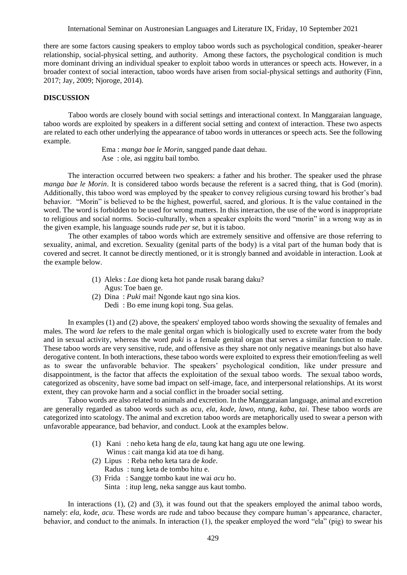International Seminar on Austronesian Languages and Literature IX, Friday, 10 September 2021

there are some factors causing speakers to employ taboo words such as psychological condition, speaker-hearer relationship, social-physical setting, and authority. Among these factors, the psychological condition is much more dominant driving an individual speaker to exploit taboo words in utterances or speech acts. However, in a broader context of social interaction, taboo words have arisen from social-physical settings and authority (Finn, 2017; Jay, 2009; Njoroge, 2014).

#### **DISCUSSION**

Taboo words are closely bound with social settings and interactional context. In Manggaraian language, taboo words are exploited by speakers in a different social setting and context of interaction. These two aspects are related to each other underlying the appearance of taboo words in utterances or speech acts. See the following example.

> Ema : *manga bae le Morin*, sangged pande daat dehau. Ase : ole, asi nggitu bail tombo.

The interaction occurred between two speakers: a father and his brother. The speaker used the phrase *manga bae le Morin*. It is considered taboo words because the referent is a sacred thing, that is God (morin). Additionally, this taboo word was employed by the speaker to convey religious cursing toward his brother's bad behavior. "Morin" is believed to be the highest, powerful, sacred, and glorious. It is the value contained in the word. The word is forbidden to be used for wrong matters. In this interaction, the use of the word is inappropriate to religious and social norms. Socio-culturally, when a speaker exploits the word "morin" in a wrong way as in the given example, his language sounds rude *per se,* but it is taboo.

The other examples of taboo words which are extremely sensitive and offensive are those referring to sexuality, animal, and excretion. Sexuality (genital parts of the body) is a vital part of the human body that is covered and secret. It cannot be directly mentioned, or it is strongly banned and avoidable in interaction. Look at the example below.

- (1) Aleks : *Lae* diong keta hot pande rusak barang daku?
- Agus: Toe baen ge.
- (2) Dina : *Puki* mai! Ngonde kaut ngo sina kios.
	- Dedi : Bo eme inung kopi tong. Sua gelas.

In examples (1) and (2) above, the speakers' employed taboo words showing the sexuality of females and males. The word *lae* refers to the male genital organ which is biologically used to excrete water from the body and in sexual activity, whereas the word *puki* is a female genital organ that serves a similar function to male. These taboo words are very sensitive, rude, and offensive as they share not only negative meanings but also have derogative content. In both interactions, these taboo words were exploited to express their emotion/feeling as well as to swear the unfavorable behavior. The speakers' psychological condition, like under pressure and disappointment, is the factor that affects the exploitation of the sexual taboo words. The sexual taboo words, categorized as obscenity, have some bad impact on self-image, face, and interpersonal relationships. At its worst extent, they can provoke harm and a social conflict in the broader social setting.

Taboo words are also related to animals and excretion. In the Manggaraian language, animal and excretion are generally regarded as taboo words such as *acu, ela, kode, lawo, ntung, kaba*, *tai*. These taboo words are categorized into scatology. The animal and excretion taboo words are metaphorically used to swear a person with unfavorable appearance, bad behavior, and conduct. Look at the examples below.

- (1) Kani : neho keta hang de *ela*, taung kat hang agu ute one lewing.
- Winus : cait manga kid ata toe di hang.
- (2) Lipus : Reba neho keta tara de *kode*.
	- Radus : tung keta de tombo hitu e.
- (3) Frida : Sangge tombo kaut ine wai *acu* ho.
	- Sinta : itup leng, neka sangge aus kaut tombo.

In interactions (1), (2) and (3), it was found out that the speakers employed the animal taboo words, namely: *ela, kode, acu*. These words are rude and taboo because they compare human's appearance, character, behavior, and conduct to the animals. In interaction (1), the speaker employed the word "ela" (pig) to swear his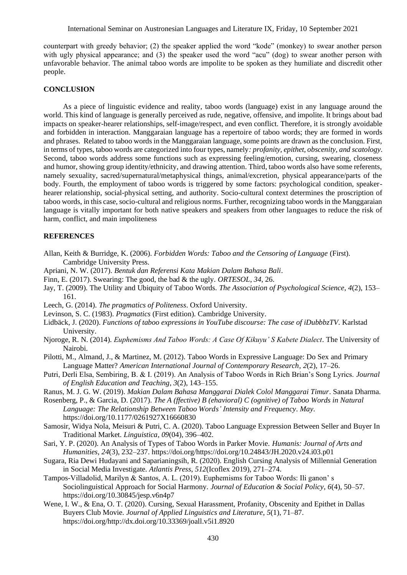counterpart with greedy behavior; (2) the speaker applied the word "kode" (monkey) to swear another person with ugly physical appearance; and (3) the speaker used the word "acu" (dog) to swear another person with unfavorable behavior. The animal taboo words are impolite to be spoken as they humiliate and discredit other people.

## **CONCLUSION**

As a piece of linguistic evidence and reality, taboo words (language) exist in any language around the world. This kind of language is generally perceived as rude, negative, offensive, and impolite. It brings about bad impacts on speaker-hearer relationships, self-image/respect, and even conflict. Therefore, it is strongly avoidable and forbidden in interaction. Manggaraian language has a repertoire of taboo words; they are formed in words and phrases. Related to taboo words in the Manggaraian language, some points are drawn as the conclusion. First, in terms of types, taboo words are categorized into four types, namely*: profanity, epithet, obscenity, and scatology*. Second, taboo words address some functions such as expressing feeling/emotion, cursing, swearing, closeness and humor, showing group identity/ethnicity, and drawing attention. Third, taboo words also have some referents, namely sexuality, sacred/supernatural/metaphysical things, animal/excretion, physical appearance/parts of the body. Fourth, the employment of taboo words is triggered by some factors: psychological condition, speakerhearer relationship, social-physical setting, and authority. Socio-cultural context determines the proscription of taboo words, in this case, socio-cultural and religious norms. Further, recognizing taboo words in the Manggaraian language is vitally important for both native speakers and speakers from other languages to reduce the risk of harm, conflict, and main impoliteness

## **REFERENCES**

- Allan, Keith & Burridge, K. (2006). *Forbidden Words: Taboo and the Censoring of Language* (First). Cambridge University Press.
- Apriani, N. W. (2017). *Bentuk dan Referensi Kata Makian Dalam Bahasa Bali*.
- Finn, E. (2017). Swearing: The good, the bad & the ugly. *ORTESOL*, *34*, 26.
- Jay, T. (2009). The Utility and Ubiquity of Taboo Words. *The Association of Psychological Science*, *4*(2), 153– 161.
- Leech, G. (2014). *The pragmatics of Politeness*. Oxford University.
- Levinson, S. C. (1983). *Pragmatics* (First edition). Cambridge University.
- Lidbäck, J. (2020). *Functions of taboo expressions in YouTube discourse: The case of iDubbbzTV*. Karlstad University.
- Njoroge, R. N. (2014). *Euphemisms And Taboo Words: A Case Of Kikuyu' S Kabete Dialect*. The University of Nairobi.
- Pilotti, M., Almand, J., & Martinez, M. (2012). Taboo Words in Expressive Language: Do Sex and Primary Language Matter? *American International Journal of Contemporary Research*, *2*(2), 17–26.
- Putri, Derli Elsa, Sembiring, B. & I. (2019). An Analysis of Taboo Words in Rich Brian's Song Lyrics. *Journal of English Education and Teaching*, *3*(2), 143–155.
- Ranus, M. J. G. W. (2019). *Makian Dalam Bahasa Manggarai Dialek Colol Manggarai Timur*. Sanata Dharma.
- Rosenberg, P., & Garcia, D. (2017). *The A (ffective) B (ehavioral) C (ognitive) of Taboo Words in Natural Language: The Relationship Between Taboo Words' Intensity and Frequency*. *May*. https://doi.org/10.1177/0261927X16660830
- Samosir, Widya Nola, Meisuri & Putri, C. A. (2020). Taboo Language Expression Between Seller and Buyer In Traditional Market. *Linguistica*, *09*(04), 396–402.
- Sari, Y. P. (2020). An Analysis of Types of Taboo Words in Parker Movie. *Humanis: Journal of Arts and Humanities*, *24*(3), 232–237. https://doi.org/https://doi.org/10.24843/JH.2020.v24.i03.p01
- Sugara, Ria Dewi Hudayani and Saparianingsih, R. (2020). English Cursing Analysis of Millennial Generation in Social Media Investigate. *Atlantis Press*, *512*(Icoflex 2019), 271–274.
- Tampos-Villadolid, Marilyn & Santos, A. L. (2019). Euphemisms for Taboo Words: Ili ganon' s Sociolinguistical Approach for Social Harmony. *Journal of Education & Social Policy*, *6*(4), 50–57. https://doi.org/10.30845/jesp.v6n4p7
- Wene, I. W., & Ena, O. T. (2020). Cursing, Sexual Harassment, Profanity, Obscenity and Epithet in Dallas Buyers Club Movie. *Journal of Applied Linguistics and Literature*, *5*(1), 71–87. https://doi.org/http://dx.doi.org/10.33369/joall.v5i1.8920